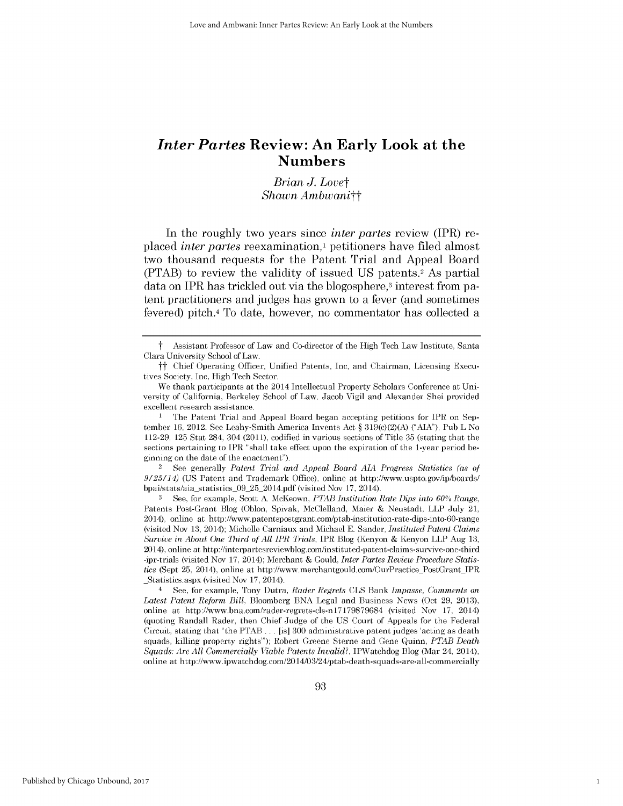# *Inter Partes* **Review: An Early Look at the Numbers**

*Brian J. Lovet Shawn Ambwanitt*

In the roughly two years since *inter partes* review (IPR) replaced *inter partes* reexamination,' petitioners have filed almost two thousand requests for the Patent Trial and Appeal Board (PTAB) to review the validity of issued **US** patents.2 As partial data on IPR has trickled out via the blogosphere,<sup>3</sup> interest from patent practitioners and judges has grown to a fever (and sometimes fevered) pitch.4 To date, however, no commentator has collected a

**1** The Patent Trial and Appeal Board began accepting petitions for IPR on September **16,** 2012. See Leahy-Smith America Invents Act *§* **319(c)(2)(A) ("AIA),** Pub L No **112-29, 125** Stat 284, 304 **(2011),** codified in various sections of Title **35** (stating that the sections pertaining to IPR "shall take effect upon the expiration of the 1-year period beginning on the date of the enactment").

**2 See** generally *Patent Trial and Appeal Board AIA Progress Statistics (as of 9/25/14)* **(US** Patent and Trademark Office), online at http://www.uspto.gov/ip/boards/ bpai/stats/aia statistics\_09 **25\_2014.pdf** (visited Nov **17,** 2014).

**3** See, for example, Scott **A** McKeown, PTAB *Institution* Rate *Dips* into **60%** Range, Patents Post-Grant Blog (Oblon, Spivak, McClelland, Maier **&** Neustadt, LLP July 21, 2014), online at http://www.patentspostgrant.com/ptab-institution-rate-dips-into-60-range (visited Nov **13,** 2014); Michelle Carniaux and Michael **E.** Sander, *Instituted Patent Claims Survive in About One Third of All IPR Trials,* IPR Blog (Kenyon **&** Kenyon LLP Aug **13,** 2014), online at http://interpartesreviewblog.com/instituted-patent-claims-survive-one-third -ipr-trials (visited Nov **17,** 2014); Merchant **&** Gould, *Inter Partes Review Procedure Statistics* (Sept **25,** 2014), online at http://www.merchantgould.com/OurPractice PostGrant IPR Statistics.aspx (visited Nov **17,** 2014).

<sup>4</sup>**See,** for example, Tony Dutra, *Rader Regrets* **CLS** Bank *Impasse, Comments on Latest Patent Reform Bill,* Bloomberg **BNA** Legal and Business News (Oct **29, 2013),** online at http://www.bna.com/rader-regrets-cls-nl7179879684 (visited Nov **17,** 2014) (quoting Randall Rader, then Chief Judge of the **US** Court of Appeals for the Federal Circuit, stating that "the PTAB **...** [is] **300** administrative patent judges 'acting as death squads, killing property rights"); Robert Greene Sterne and Gene Quinn, *PTAB Death Squads: Are All Commercially Viable Patents Invalid?,* IPWatchdog Blog (Mar 24, 2014), online at http://www.ipwatchdog.com/2014/03/24/ptab-death-squads-are-all-commercially

1

*t* Assistant Professor of Law and Co-director of the High Tech Law Institute, Santa Clara University School of Law.

*tt* Chief Operating Officer, Unified Patents, Inc, and Chairman, Licensing Executives Society, **Inc,** High Tech Sector.

We thank participants at the 2014 Intellectual Property Scholars Conference at University of California, Berkeley School of Law. Jacob Vigil and Alexander Shei provided excellent research assistance.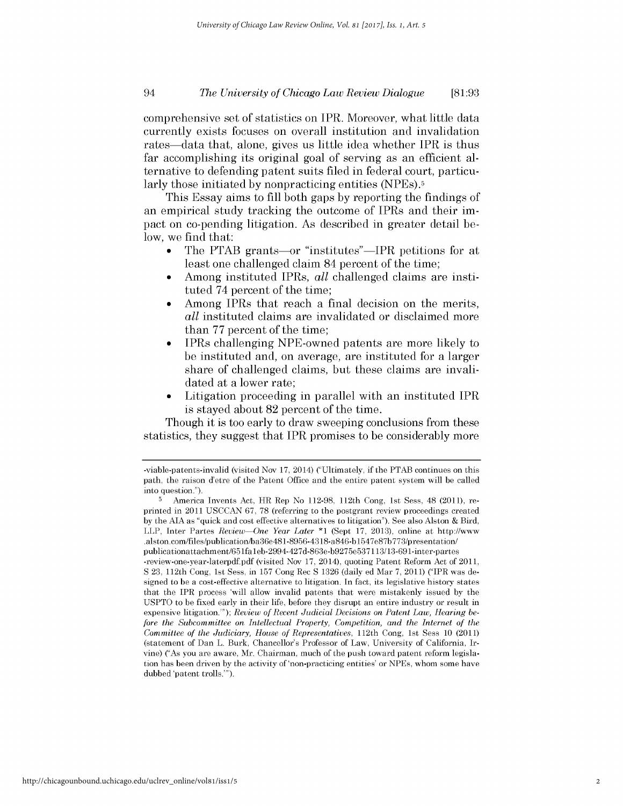## *The University of Chicago Law Review Dialogue* 94 **[81:93**

comprehensive set of statistics on IPR. Moreover, what little data currently exists focuses on overall institution and invalidation rates—data that, alone, gives us little idea whether IPR is thus far accomplishing its original goal of serving as an efficient alternative to defending patent suits filed in federal court, particularly those initiated **by** nonpracticing entities (NPEs).5

This Essay aims to **fill** both gaps **by** reporting the findings of an empirical study tracking the outcome of IPRs and their **im**pact on co-pending litigation. As described in greater detail below, we find that:

- The PTAB grants—or "institutes"—IPR petitions for at least one challenged claim 84 percent of the time;
- Among instituted IPRs, *all* challenged claims are instituted 74 percent of the time;
- Among IPRs that reach a final decision on the merits, *all* instituted claims are invalidated or disclaimed more than **77** percent of the time;
- IPRs challenging NPE-owned patents are more likely to be instituted and, on average, are instituted for a larger share of challenged claims, but these claims are invalidated at a lower rate;
- Litigation proceeding in parallel with an instituted IPR is stayed about **82** percent of the time.

Though it is too early to draw sweeping conclusions from these statistics, they suggest that IPR promises to be considerably more

<sup>-</sup>viable-patents-invalid (visited Nov **17,** 2014) ("Ultimately, if the PTAB continues on this path, the raison d'etre of the Patent Office and the entire patent system will be called into question.").

**<sup>5</sup>** America Invents Act, HR Rep No **112-98,** 112th Cong, 1st Sess, 48 (2011), reprinted in 2011 **USCCAN 67, 78** (referring to the postgrant review proceedings created **by** the **AIA** as "quick and cost effective alternatives to litigation"). See also Alston **&** Bird, LLP, Inter Partes *Review-One Year Later \*1* (Sept **17, 2013),** online at http://www .alston.com/files/publication/ba36e481-8956-4318-a846-bl547e87b773/presentation/ publicationattachment/651faleb-2994-427d-863e-b9275e537113/13-691-inter-partes

<sup>-</sup>review-one-year-laterpdf.pdf (visited Nov **17,** 2014), quoting Patent Reform Act of **2011, S 23,** 112th Cong, 1st Sess, in **157** Cong Rec **S 1326** (daily ed Mar **7, 2011)** ("IPR was designed to be a cost-effective alternative to litigation. In fact, its legislative history states that the IPR process 'will allow invalid patents that were mistakenly issued **by** the **USPTO** to be fixed early in their **life,** before they disrupt an entire industry or result in expensive litigation."); *Review of Recent Judicial Decisions on Patent Law, Hearing before the Subcommittee on Intellectual Property, Competition, and the Internet of the Committee of the Judiciary, House of Representatives,* 112th Cong, 1st Sess **10** (2011) (statement of Dan L. Burk, Chancellor's Professor of Law, University of California, Irvine) ("As you are aware, Mr. Chairman, much of the push toward patent reform legislation has been driven **by** the activity of 'non-practicing entities' or NPEs, whom some have dubbed 'patent trolls.").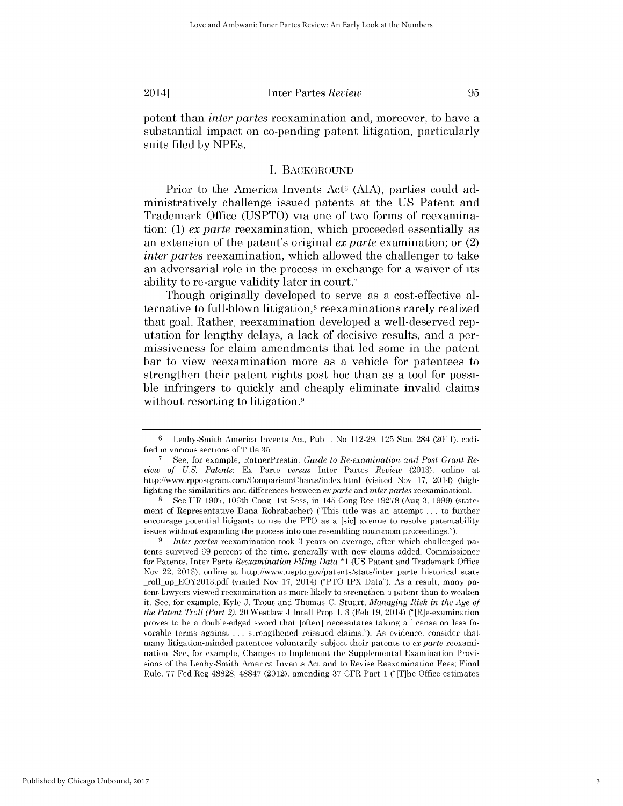#### 2014] Inter Partes *Review 95*

potent than *inter partes* reexamination and, moreover, to have a substantial impact on co-pending patent litigation, particularly suits filed **by** NPEs.

#### **I. BACKGROUND**

Prior to the America Invents Act<sup>6</sup> (AIA), parties could administratively challenge issued patents at the **US** Patent and Trademark Office **(USPTO)** via one of two forms of reexamination: **(1)** *ex parte* reexamination, which proceeded essentially as an extension of the patent's original *ex parte* examination; or (2) *inter partes* reexamination, which allowed the challenger to take an adversarial role in the process in exchange for a waiver of its ability to re-argue validity later in court. <sup>7</sup>

Though originally developed to serve as a cost-effective alternative to full-blown litigation,<sup>8</sup> reexaminations rarely realized that goal. Rather, reexamination developed a well-deserved reputation for lengthy delays, a lack of decisive results, and a permissiveness for claim amendments that led some in the patent bar to view reexamination more as a vehicle for patentees to strengthen their patent rights post hoc than as a tool for possible infringers to quickly and cheaply eliminate invalid claims without resorting to litigation.<sup>9</sup>

**9** *Inter partes* reexamination took **3** years on average, after which challenged patents survived **69** percent of the time, generally with new claims added. Commissioner for Patents, Inter Parte *Reexamination Filing Data* **\*1 (US** Patent and Trademark Office Nov 22, 2013), online at http://www.uspto.gov/patents/stats/inter\_parte\_historical\_stats roll upEOY2013.pdf (visited Nov **17,** 2014) ("PTO IPX Data"). As a result, many patent lawyers viewed reexamination as more likely to strengthen a patent than to weaken **it.** See, for example, Kyle **J.** Trout and Thomas **C.** Stuart, *Managing Risk in the Age of the Patent Troll (Part 2),* 20 Westlaw **J** Intell Prop **1, 3** (Feb **19,** 2014) ("[R]e-examination proves to be a double-edged sword that [often] necessitates taking a license on less favorable terms against **.** . **.** strengthened reissued claims."). As evidence, consider that many litigation-minded patentees voluntarily subject their patents to *ex parte* reexamination. See, for example, Changes to Implement the Supplemental Examination Provisions of the Leahy-Smith America Invents Act and to Revise Reexamination Fees; Final Rule, **77** Fed Reg 48828, 48847 (2012), amending **37** CFR Part **1** ("[T]he Office estimates

**<sup>6</sup>** Leahy-Smith America Invents Act, Pub L No **112-29, 125** Stat 284 (2011), codified in various sections of Title **35.**

**<sup>7</sup>** See, for example, RatnerPrestia, *Guide to Re-examination and Post Grant Review of U.S. Patents:* Ex Parte *versus* Inter Partes *Review* **(2013),** online at http://www.rppostgrant.com/ComparisonCharts/index.html (visited Nov **17,** 2014) (highlighting the similarities and differences between *exparte and inter partes* reexamination).

**<sup>8</sup>** See HR **1907,** 106th Cong, 1st Sess, in 145 Cong Rec **19278** (Aug **3, 1999)** (statement of Representative Dana Rohrabacher) ("This title was an attempt **...** to further encourage potential litigants to use the PTO as a [sic] avenue to resolve patentability issues without expanding the process into one resembling courtroom proceedings.").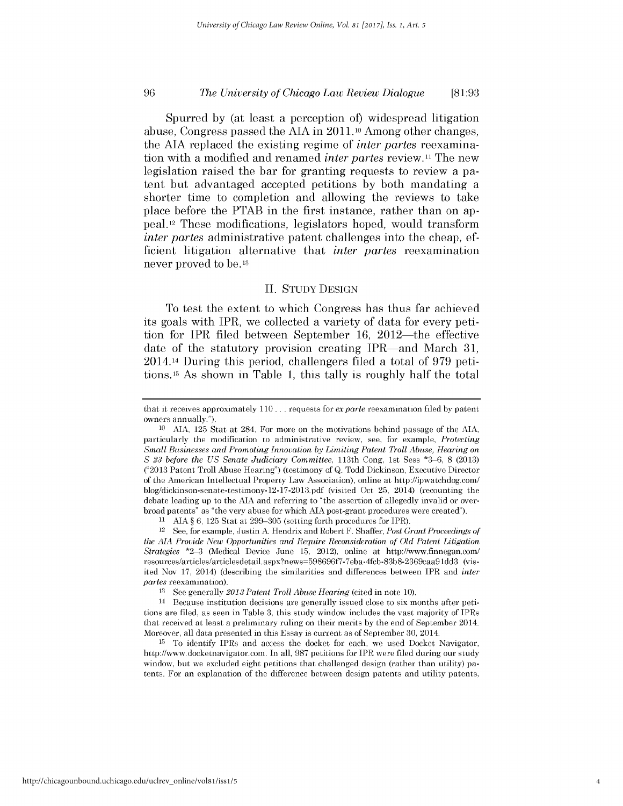#### **96** *The University of Chicago Law Review Dialogue* **[81:93**

Spurred **by** (at least a perception of) widespread litigation abuse, Congress passed the **AIA** in **2011.10** Among other changes, the **AIA** replaced the existing regime of *inter partes* reexamination with a modified and renamed *inter partes* review.<sup>11</sup> The new legislation raised the bar for granting requests to review a patent but advantaged accepted petitions **by** both mandating a shorter time to completion and allowing the reviews to take place before the PTAB in the first instance, rather than on appeal.12 These modifications, legislators hoped, would transform *inter partes* administrative patent challenges into the cheap, efficient litigation alternative that *inter partes* reexamination never proved to be.13

#### **II. STUDY DESIGN**

To test the extent to which Congress has thus far achieved its goals with IPR, we collected a variety of data for every petition for IPR filed between September **16,** 2012-the effective date of the statutory provision creating IPR—and March 31, 2014.14 During this period, challengers filed a total of **979** petitions.15 As shown in Table **1,** this tally is roughly half the total

**11 AIA** *§* **6, 125** Stat at **299-305** (setting forth procedures for IPR).

12 See, for example, Justin **A** Hendrix and Robert F. Shaffer, *Post Grant Proceedings of the AIA Provide New Opportunities and Require Reconsideration of Old Patent Litigation Strategies* **\*2-3** (Medical Device June **15,** 2012), online at http://www.finnegan.com/ resources/articles/articlesdetail.aspx?news=598696f7-7eba-4fcb-83b8-2369caa91dd3 (visited Nov **17,** 2014) (describing the similarities and differences between IPR and *inter partes* reexamination).

**<sup>13</sup>**See generally *2013 Patent Troll Abuse Hearing* (cited in note **10).**

14 Because institution decisions are generally issued close to six months after petitions are filed, as seen in Table **3,** this study window includes the vast majority of IPRs that received at least a preliminary ruling on their merits **by** the end of September 2014. Moreover, all data presented in this Essay is current as of September **30,** 2014.

**<sup>15</sup>**To identify IPRs and access the docket for each, we used Docket Navigator, http://www.docketnavigator.com. In all, **987** petitions for IPR were filed during our study window, but we excluded eight petitions that challenged design (rather than utility) patents. For an explanation of the difference between design patents and utility patents,

that it receives approximately **110 . ..** requests for *exparte* reexamination filed **by** patent owners annually.").

**<sup>10</sup> AIA, 125** Stat at 284. For more on the motivations behind passage of the **AIA,** particularly the modification to administrative review, see, for example, *Protecting Small Businesses and Promoting Innovation by Limiting Patent Troll Abuse, Hearing on S 23 before the US Senate Judiciary Committee,* 113th Cong, 1st Sess **\*3-6, 8 (2013) ("2013** Patent Troll Abuse Hearing") (testimony of **Q.** Todd Dickinson, Executive Director of the American Intellectual Property Law Association), online at http://ipwatchdog.com/ blog/dickinson-senate-testimony- **12- 17-2013.pdf** (visited Oct **25,** 2014) (recounting the debate leading up to the **AIA** and referring to "the assertion of allegedly invalid or overbroad patents" as "the very abuse for which **AIA** post-grant procedures were created").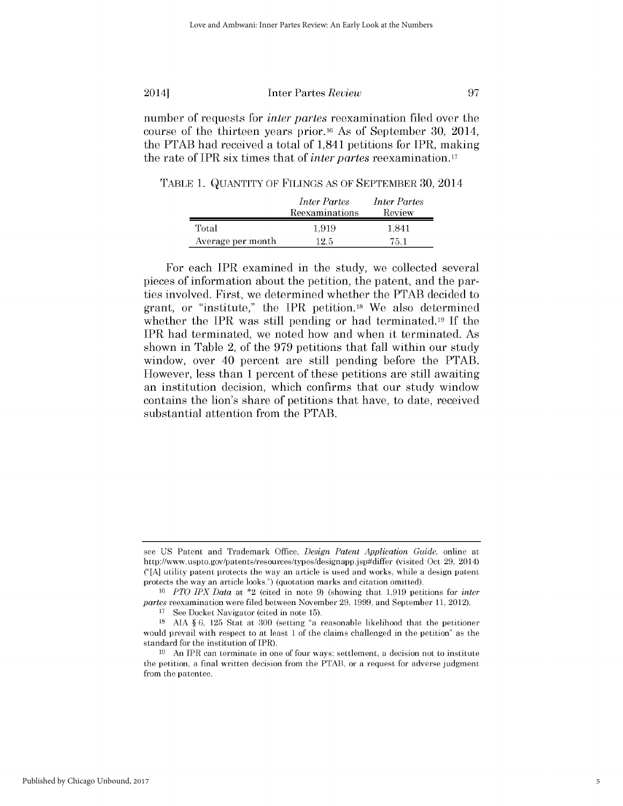number of requests for *inter partes* reexamination filed over the course of the thirteen years prior.16 As of September **30,** 2014, the PTAB had received a total of 1,841 petitions for IPR, making the rate of IPR six times that of *inter partes* reexamination.17

TABLE **1. QUANTITY** OF **FILINGS AS** OF SEPTEMBER **30,** 2014

|                   | <i>Inter Partes</i><br>Reexaminations | <i>Inter Partes</i><br>Review |
|-------------------|---------------------------------------|-------------------------------|
| Total             | 1.919                                 | 1.841                         |
| Average per month | 12.5                                  | 75 1                          |

For each IPR examined in the study, we collected several pieces of information about the petition, the patent, and the parties involved. First, we determined whether the PTAB decided to grant, or "institute," the IPR petition.18 We also determined whether the IPR was still pending or had terminated.19 **If** the IPR had terminated, we noted how and when it terminated. As shown in Table 2, of the **979** petitions that fall within our study window, over 40 percent are still pending before the PTAB. However, less than 1 percent of these petitions are still awaiting an institution decision, which confirms that our study window contains the lion's share of petitions that have, to date, received substantial attention from the PTAB.

see **US** Patent and Trademark Office, *Design Patent Application Guide,* online at http://www.uspto.gov/patents/resources/types/designapp.jsp#differ (visited Oct **29,** 2014) **("[A]** utility patent protects the way an article is used and works, while a design patent protects the way an article looks.") (quotation marks and citation omitted).

*<sup>16</sup>PTO IPX Data* at \*2 (cited in note **9)** (showing that **1,919** petitions for *inter partes* reexamination were filed between November **29, 1999,** and September **11,** 2012).

**<sup>17</sup>**See Docket Navigator (cited in note **15).**

**<sup>18</sup> AIA § 6, 125** Stat at **300** (setting "a reasonable likelihood that the petitioner would prevail with respect to at least **1** of the claims challenged in the petition" as the standard for the institution of IPR).

**<sup>19</sup>**An IPR can terminate in one of four ways: settlement, a decision not to institute the petition, a final written decision from the PTAB, or a request for adverse judgment from the patentee.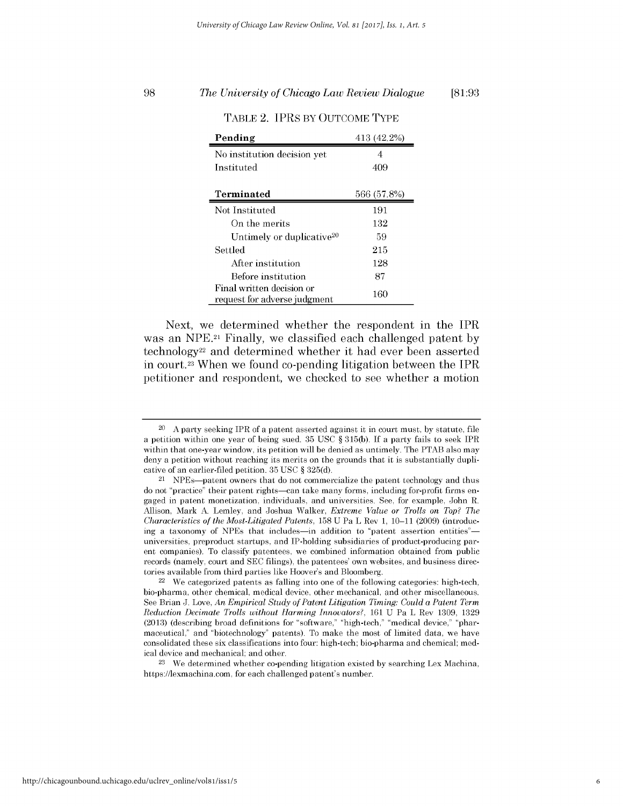## **98 [81:93** *The University of Chicago Law Review Dialogue*

| Pending                                                   | 413 (42.2%) |
|-----------------------------------------------------------|-------------|
| No institution decision yet                               | 4           |
| Instituted                                                | 409         |
|                                                           |             |
| Terminated                                                | 566 (57.8%) |
| Not Instituted                                            | 191         |
| On the merits                                             | 132         |
| Untimely or duplicative <sup>20</sup>                     | 59          |
| Settled                                                   | 215         |
| After institution                                         | 128         |
| Before institution                                        | 87          |
| Final written decision or<br>request for adverse judgment | 160         |

TABLE 2. IPRS BY **OUTCOME** TYPE

Next, we determined whether the respondent in the IPR was an **NPE.21** Finally, we classified each challenged patent **by** technology22 and determined whether it had ever been asserted in court.23 When we found co-pending litigation between the IPR petitioner and respondent, we checked to see whether a motion

**<sup>23</sup>**We determined whether co-pending litigation existed **by** searching Lex Machina, https://lexmachina.com, for each challenged patent's number.

<sup>20</sup>**A** party seeking IPR of a patent asserted against it in court must, **by** statute, file a petition within one year of being sued. **35 USC** *§* **315(b). If** a party fails to seek IPR within that one-year window, its petition will be denied as untimely. The PTAB also may deny a petition without reaching its merits on the grounds that it is substantially duplicative of an earlier-filed petition. **35 USC** *§* **325(d).**

<sup>21</sup> NPEs-patent owners that do not commercialize the patent technology and thus do not "practice" their patent rights-can take many forms, including for-profit firms engaged in patent monetization, individuals, and universities. See, for example, John R. Allison, Mark **A.** Lemley, and Joshua Walker, *Extreme Value or Trolls on Top? The Characteristics of the Most-Litigated Patents,* **158 U** Pa L Rev **1, 10-11 (2009)** (introducing a taxonomy of NPEs that includes—in addition to "patent assertion entities" universities, preproduct startups, and IP-holding subsidiaries of product-producing parent companies). To classify patentees, we combined information obtained from public records (namely, court and **SEC** filings), the patentees' own websites, and business directories available from third parties like Hoover's and Bloomberg.

<sup>22</sup> We categorized patents as falling into one of the following categories: high-tech, bio-pharma, other chemical, medical device, other mechanical, and other miscellaneous. See Brian **J.** Love, *An Empirical Study of Patent Litigation Timing: Could a Patent Term Reduction Decimate Trolls without Harming Innovators?,* **161 U** Pa L Rev **1309, 1329 (2013)** (describing broad definitions for "software," "high-tech," "medical device," "pharmaceutical," and "biotechnology" patents). To make the most of limited data, we have consolidated these six classifications into four: high-tech; bio-pharma and chemical; medical device and mechanical; and other.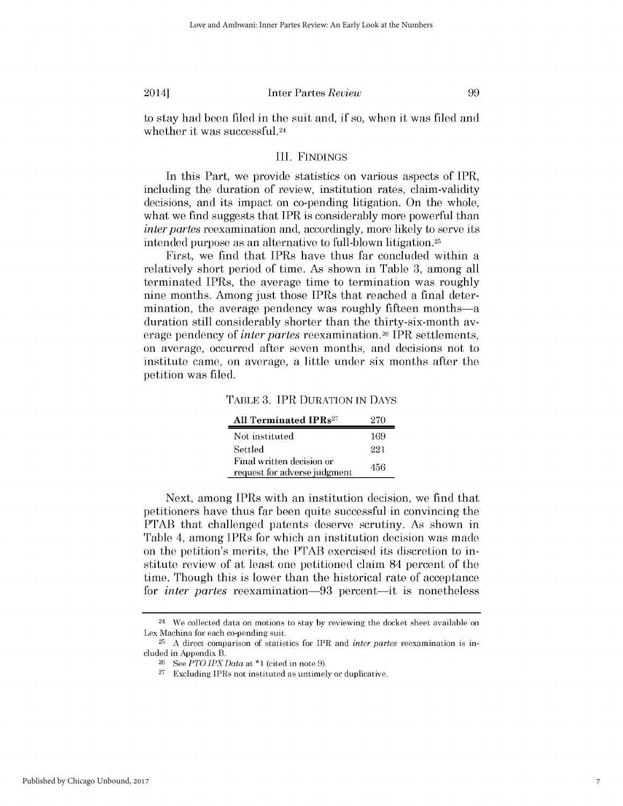to stay had been filed in the suit and, **if** so, when it was filed and whether it was **successful.24**

### III. **FINDINGS**

In this Part, we provide statistics on various aspects of IPR, including the duration of review, institution rates, claim-validity decisions, and its impact on co-pending litigation. On the whole, what we find suggests that IPR is considerably more powerful than *inter partes* reexamination and, accordingly, more likely to serve its intended purpose as an alternative to full-blown litigation.25

First, we find that IPRs have thus far concluded within a relatively short period of time. As shown in Table **3,** among all terminated IPRs, the average time to termination was roughly nine months. Among just those IPRs that reached a final determination, the average pendency was roughly fifteen months-a duration still considerably shorter than the thirty-six-month average pendency of *inter partes* reexamination.26 IPR settlements, on average, occurred after seven months, and decisions not to institute came, on average, a little under six months after the petition was filed.

| All Terminated IPRs <sup>27</sup>                         | 270 |
|-----------------------------------------------------------|-----|
| Not instituted                                            | 169 |
| Settled                                                   | 221 |
| Final written decision or<br>request for adverse judgment | 456 |

Next, among IPRs with an institution decision, we find that petitioners have thus far been quite successful in convincing the PTAB that challenged patents deserve scrutiny. As shown in Table 4, among IPRs for which an institution decision was made on the petition's merits, the PTAB exercised its discretion to institute review of at least one petitioned claim 84 percent of the time. Though this is lower than the historical rate of acceptance for *inter partes* reexamination-93 percent-it is nonetheless

<sup>24</sup>We collected data on motions to stay **by** reviewing the docket sheet available on Lex Machina for each co-pending suit.

**<sup>25</sup> A** direct comparison of statistics for IPR and *inter partes* reexamination is included in Appendix B.

**<sup>26</sup>**See *PTO IPXData* at **\*1** (cited in note **9).**

**<sup>27</sup>**Excluding IPRs not instituted as untimely or duplicative.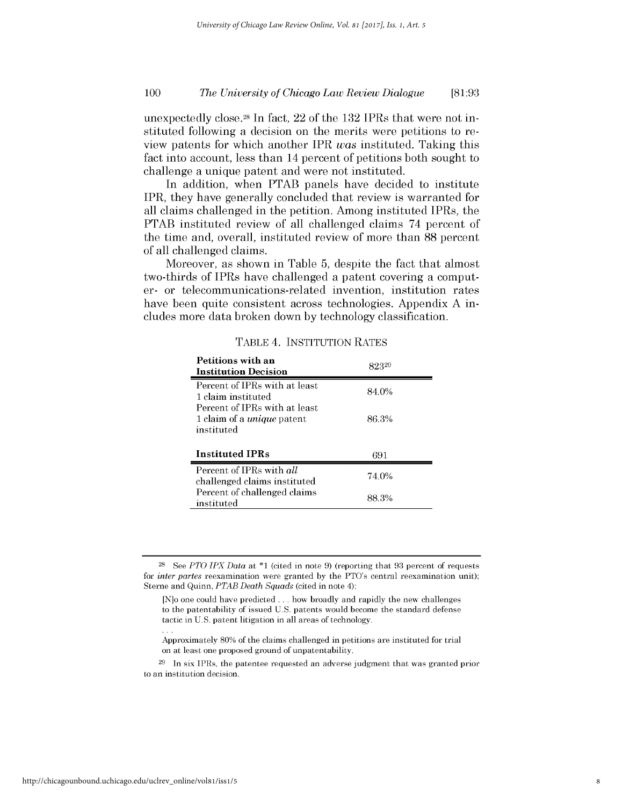#### **<sup>100</sup>** *The University of Chicago Law Review Dialogue* **[81:93**

unexpectedly close.28 In fact, 22 of the **132** IPRs that were not instituted following a decision on the merits were petitions to review patents for which another IPR was instituted. Taking this fact into account, less than 14 percent of petitions both sought to challenge a unique patent and were not instituted.

In addition, when PTAB panels have decided to institute IPR, they have generally concluded that review is warranted for all claims challenged in the petition. Among instituted IPRs, the PTAB instituted review of all challenged claims 74 percent of the time and, overall, instituted review of more than **88** percent of all challenged claims.

Moreover, as shown in Table **5,** despite the fact that almost two-thirds of IPRs have challenged a patent covering a computer- or telecommunications-related invention, institution rates have been quite consistent across technologies. Appendix **A** includes more data broken down **by** technology classification.

|  | TABLE 4. INSTITUTION RATES |  |
|--|----------------------------|--|
|--|----------------------------|--|

| <b>Petitions with an</b><br><b>Institution Decision</b>                          | 82329 |
|----------------------------------------------------------------------------------|-------|
| Percent of IPRs with at least<br>1 claim instituted                              | 84.0% |
| Percent of IPRs with at least<br>1 claim of a <i>unique</i> patent<br>instituted | 86.3% |
| <b>Instituted IPRs</b>                                                           | 691   |
| Percent of IPRs with all                                                         |       |
| challenged claims instituted                                                     | 74.0% |

**<sup>28</sup>See** *PTO IPX Data at* **\*1** (cited in note **9)** (reporting that **93** percent of requests *for inter partes* reexamination were granted **by** the PTO's central reexamination unit); Sterne and Quinn, *PTAB Death Squads* (cited in note 4):

<sup>[</sup>N]o one could have predicted **...** how broadly and rapidly the new challenges to the patentability of issued **U.S.** patents would become the standard defense tactic in **U.S.** patent litigation in all areas of technology.

Approximately **80%** of the claims challenged in petitions are instituted for trial on at least one proposed ground of unpatentability.

**<sup>29</sup>**In six IPRs, the patentee requested an adverse judgment that was granted prior to an institution decision.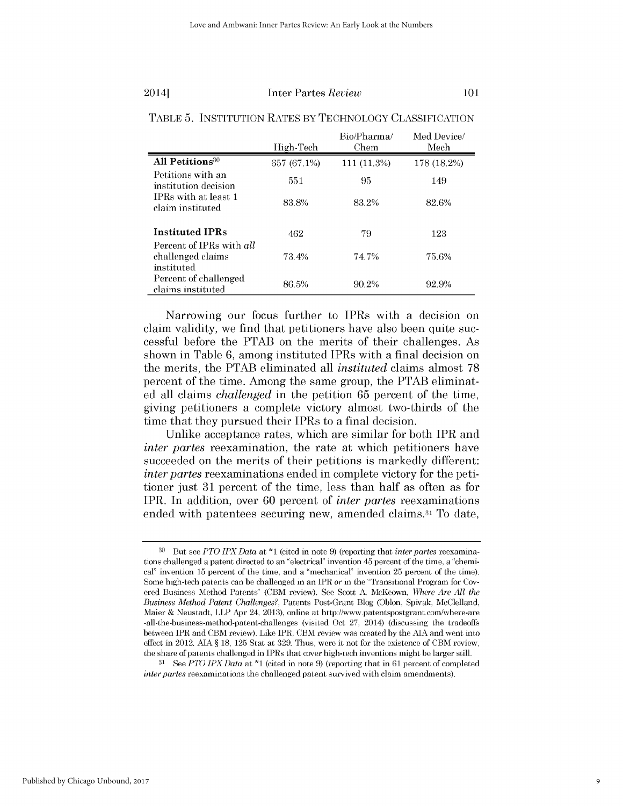|                                                             | High-Tech   | Bio/Pharma/<br>Chem | Med Device/<br>Mech |
|-------------------------------------------------------------|-------------|---------------------|---------------------|
| All Petitions <sup>30</sup>                                 | 657 (67.1%) | $111(11.3\%)$       | 178 (18.2%)         |
| Petitions with an<br>institution decision                   | 551         | 95                  | 149                 |
| IPRs with at least 1<br>claim instituted                    | 83.8%       | 83.2%               | 82.6%               |
| <b>Instituted IPRs</b>                                      | 462         | 79                  | 123                 |
| Percent of IPRs with all<br>challenged claims<br>instituted | 73.4%       | 74.7%               | 75.6%               |
| Percent of challenged<br>claims instituted                  | 86.5%       | 90.2%               | 92.9%               |

### TABLE **5. INSTITUTION** RATES BY **TECHNOLOGY CLASSIFICATION**

Narrowing our focus further to IPRs with a decision on claim validity, we find that petitioners have also been quite successful before the PTAB on the merits of their challenges. As shown in Table **6,** among instituted IPRs with a final decision on the merits, the PTAB eliminated all *instituted* claims almost **<sup>78</sup>** percent of the time. Among the same group, the PTAB eliminated all claims *challenged* in the petition **65** percent of the time, giving petitioners a complete victory almost two-thirds of the time that they pursued their IPRs to a final decision.

Unlike acceptance rates, which are similar for both IPR and *inter partes* reexamination, the rate at which petitioners have succeeded on the merits of their petitions is markedly different: *inter partes* reexaminations ended in complete victory for the petitioner just **31** percent of the time, less than half as often as for IPR. In addition, over **60** percent of *inter partes* reexaminations ended with patentees securing new, amended claims.31 To date,

**<sup>30</sup>** But see *PTO IPXData at* \*1 (cited in note **9)** (reporting that *inter partes* reexaminations challenged a patent directed to an "electrical" invention 45 percent of the time, a "chemical" invention **15** percent of the time, and a "mechanical' invention **25** percent of the time). Some high-tech patents can be challenged in an IPR *or* in the "Transitional Program for Covered Business Method Patents" (CBM review). See Scott **A** McKeown, *Where Are All the Business Method Patent Challenges?,* Patents Post-Grant Blog (Oblon, Spivak, McClelland, Maier **&** Neustadt, LLP Apr 24, **2013),** online at http://www.patentspostgrant.com/where-are -all-the-business-method-patent-challenges (visited Oct **27,** 2014) (discussing the tradeoffs between IPR and CBM review). Like IPR, CBM review was created **by** the **AIA** and went into effect in 2012. **AIA § 18, 125** Stat at **329.** Thus, were it not for the existence of CBM review, the share of patents challenged in IPRs that cover high-tech inventions might be larger still.

**<sup>31</sup>**See *PTO IPX Data* at **\*1** (cited in note **9)** (reporting that in **61** percent of completed *inter partes* reexaminations the challenged patent survived with claim amendments).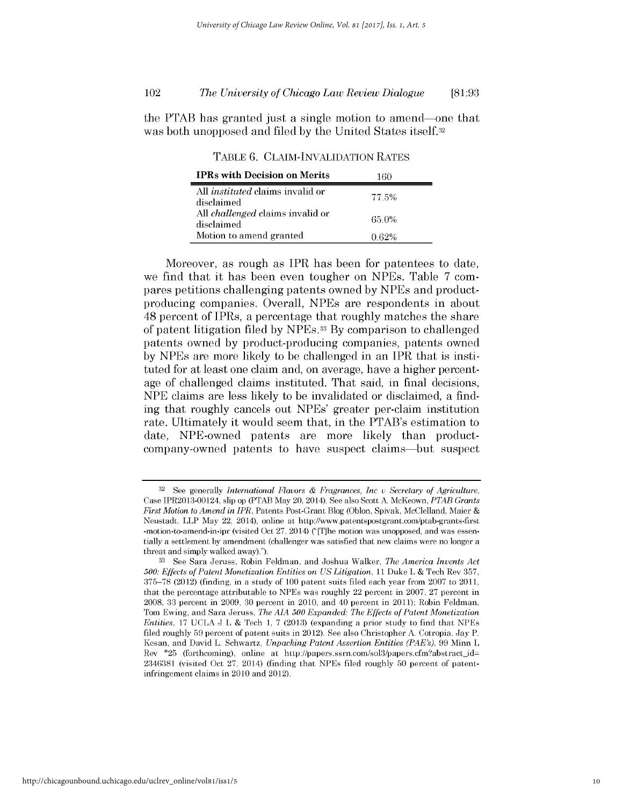## *The University of Chicago Law Review Dialogue* 102 **[81:93**

the PTAB has granted just a single motion to amend-one that was both unopposed and filed **by** the United States itself.32

**TABLE 6. CLAIM-INVALIDATION RATES**

| <b>IPRs with Decision on Merits</b>                   | 160   |
|-------------------------------------------------------|-------|
| All <i>instituted</i> claims invalid or<br>disclaimed | 77.5% |
| All <i>challenged</i> claims invalid or<br>disclaimed | 65.0% |
| Motion to amend granted                               | ባ 62% |

Moreover, as rough as IPR has been for patentees to date, we find that it has been even tougher on NPEs. Table **7** compares petitions challenging patents owned **by** NPEs and productproducing companies. Overall, NPEs are respondents in about 48 percent of IPRs, a percentage that roughly matches the share of patent litigation filed **by** NPEs.33 **By** comparison to challenged patents owned **by** product-producing companies, patents owned **by** NPEs are more likely to be challenged in an IPR that is instituted for at least one claim and, on average, have a higher percentage of challenged claims instituted. That said, in final decisions, **NPE** claims are less likely to be invalidated or disclaimed, a finding that roughly cancels out NPEs' greater per-claim institution rate. Ultimately it would seem that, in the PTAB's estimation to date, NPE-owned patents are more likely than productcompany-owned patents to have suspect claims-but suspect

**<sup>32</sup> See** generally *International Flavors & Fragrances, Inc v Secretary of Agriculture,* Case IPR2013-00124, slip op (PTAB May 20, 2014). See also Scott **A** McKeown, *PTAB Grants First Motion to Amend in IPR,* Patents Post-Grant Blog (Oblon, Spivak, McClelland, Maier **&** Neustadt, LLP May 22, 2014), online at http://www.patentspostgrant.com/ptab-grants-first -motion-to-amend-in-ipr (visited Oct 27, 2014) ("[T]he motion was unopposed, and was essentially a settlement **by** amendment (challenger was satisfied that new claims were no longer a threat and simply walked away).").

**<sup>33</sup>**See Sara Jeruss, Robin Feldman, and Joshua Walker, *The America Invents Act 500: Effects of Patent Monetization Entities on US Litigation, 11* Duke L **&** Tech Rev **357, 375-78** (2012) (finding, in a study of **100** patent suits filed each year from **2007** to 2011, that the percentage attributable to NPEs was roughly 22 percent in **2007, 27** percent in 2008, **33** percent in **2009, 30** percent in 2010, and 40 percent in 2011); Robin Feldman, Tom Ewing, and Sara Jeruss, *The AIA 500 Expanded: The Effects of Patent Monetization Entities,* **17 UCLA J** L **&** Tech **1, 7 (2013)** (expanding a prior study to find that NPEs filed roughly **59** percent of patent suits in 2012). See also Christopher **A.** Cotropia, Jay P. Kesan, and David L. Schwartz, *Unpacking Patent Assertion Entities (PAE's),* **99** Minn L Rev \*25 (forthcoming), online at http://papers.ssrn.com/sol3/papers.cfm?abstract\_id= 2346381 (visited Oct **27,** 2014) (finding that NPEs filed roughly **50** percent of patentinfringement claims in 2010 and 2012).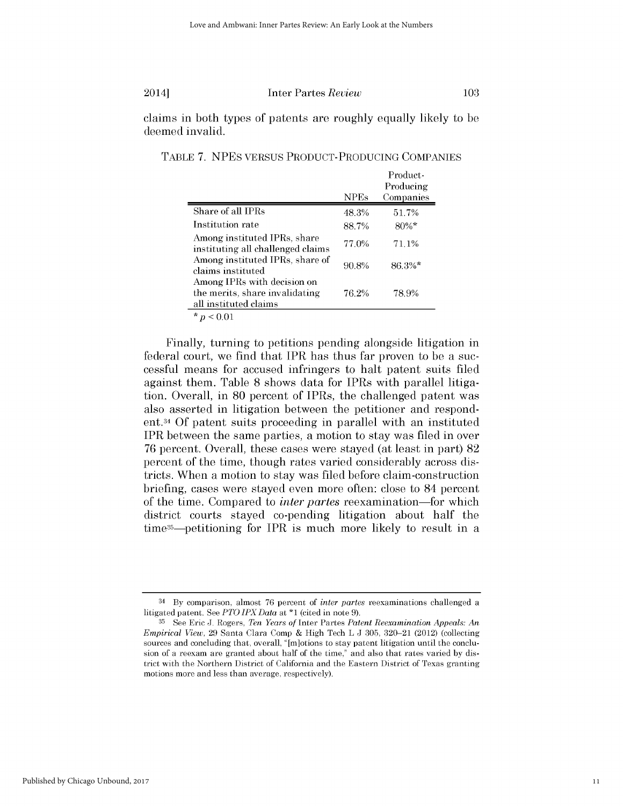claims in both types of patents are roughly equally likely to be deemed invalid.

|                                                                                        | <b>NPEs</b> | Product-<br>Producing<br>Companies |
|----------------------------------------------------------------------------------------|-------------|------------------------------------|
| Share of all IPRs                                                                      | 48.3%       | 51.7%                              |
| Institution rate                                                                       | 88.7%       | $80\%$ *                           |
| Among instituted IPRs, share<br>instituting all challenged claims                      | 77.0%       | 71.1%                              |
| Among instituted IPRs, share of<br>claims instituted                                   | 90.8%       | 86.3%*                             |
| Among IPRs with decision on<br>the merits, share invalidating<br>all instituted claims | 76.2%       | 78.9%                              |
| * $p < 0.01$                                                                           |             |                                    |

TABLE **7.** NPES **VERSUS PRODUCT-PRODUCING COMPANIES**

Finally, turning to petitions pending alongside litigation in federal court, we find that IPR has thus far proven to be a successful means for accused infringers to halt patent suits filed against them. Table **8** shows data for IPRs with parallel litigation. Overall, in **80** percent of IPRs, the challenged patent was also asserted in litigation between the petitioner and respondent. <sup>34</sup>**Of** patent suits proceeding in parallel with an instituted IPR between the same parties, a motion to stay was filed in over **76** percent. Overall, these cases were stayed (at least in part) **82** percent of the time, though rates varied considerably across **dis**tricts. When a motion to stay was filed before claim-construction briefing, cases were stayed even more often: close to 84 percent of the time. Compared to *inter partes* reexamination-for which district courts stayed co-pending litigation about half the time35-petitioning for IPR is much more likely to result in a

<sup>34</sup>**By** comparison, almost **76** percent of *inter partes* reexaminations challenged a litigated patent. See *PTO IPXData at* **\*1** (cited in note **9).**

**<sup>35</sup>**See Eric **J.** Rogers, *Ten Years of* Inter Partes *Patent Reexamination Appeals: An Empirical View,* **29** Santa Clara Comp **&** High Tech L **J 305, 320-21** (2012) (collecting sources and concluding that, overall, "[m]otions to stay patent litigation until the conclusion of a reexam are granted about half of the time," and also that rates varied **by** district with the Northern District of California and the Eastern District of Texas granting motions more and less than average, respectively).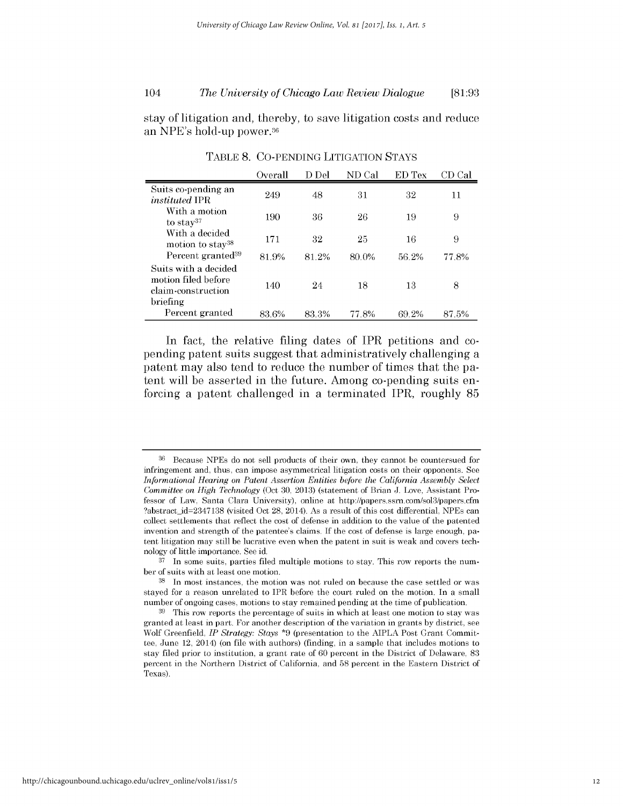#### 104 *The University of Chicago Law Review Dialogue* **[81:93**

stay of litigation and, thereby, to save litigation costs and reduce an NPE's hold-up power. <sup>36</sup>

|                                                                   | Overall | D Del | ND Cal | ED Tex | CD Cal |
|-------------------------------------------------------------------|---------|-------|--------|--------|--------|
| Suits co-pending an<br><i>instituted</i> IPR                      | 249     | 48    | 31     | 32     | 11     |
| With a motion<br>to stay $37$                                     | 190     | 36    | 26     | 19     | 9      |
| With a decided<br>motion to stay <sup>38</sup>                    | 171     | 32    | 25     | 16     | 9      |
| Percent granted <sup>39</sup>                                     | 81.9%   | 81.2% | 80.0%  | 56.2%  | 77.8%  |
| Suits with a decided<br>motion filed before<br>claim-construction | 140     | 24    | 18     | 13     | 8      |
| briefing<br>Percent granted                                       | 83.6%   | 83.3% | 77.8%  | 69.2%  | 87.5%  |

TABLE **8. CO-PENDING LITIGATION STAYS**

In fact, the relative filing dates of IPR petitions and copending patent suits suggest that administratively challenging a patent may also tend to reduce the number of times that the patent will be asserted in the future. Among co-pending suits enforcing a patent challenged in a terminated IPR, roughly **85**

<sup>&</sup>lt;sup>36</sup> Because NPEs do not sell products of their own, they cannot be countersued for infringement and, thus, can impose asymmetrical litigation costs on their opponents. See *Informational Hearing on Patent Assertion Entities before the California Assembly Select Committee on High Technology* (Oct **30, 2013)** (statement of Brian **J.** Love, Assistant Professor of Law, Santa Clara University), online at http://papers.ssrn.com/sol3/papers.cfm ?abstract\_id=2347138 (visited Oct 28, 2014). As a result of this cost differential, NPEs can collect settlements that reflect the cost of defense in addition to the value of the patented invention and strength of the patentee's claims. **If** the cost of defense is large enough, patent litigation may still be lucrative even when the patent in suit is weak and covers technology of little importance. See id.

**<sup>37</sup>** In some suits, parties filed multiple motions to stay. This row reports the number of suits with at least one motion.

**<sup>38</sup>**In most instances, the motion was not ruled on because the case settled or was stayed for a reason unrelated to IPR before the court ruled on the motion. In a small number of ongoing cases, motions to stay remained pending at the time of publication.

**<sup>39</sup>**This row reports the percentage of suits in which at least one motion to stay was granted at least in part. For another description of the variation in grants **by** district, see Wolf Greenfield, *IP Strategy: Stays* **\*9** (presentation to the **AIPLA** Post Grant Committee, June 12, 2014) (on file with authors) (finding, in a sample that includes motions to stay filed prior to institution, a grant rate of **60** percent in the District of Delaware, **83** percent in the Northern District of California, and **58** percent in the Eastern District of Texas).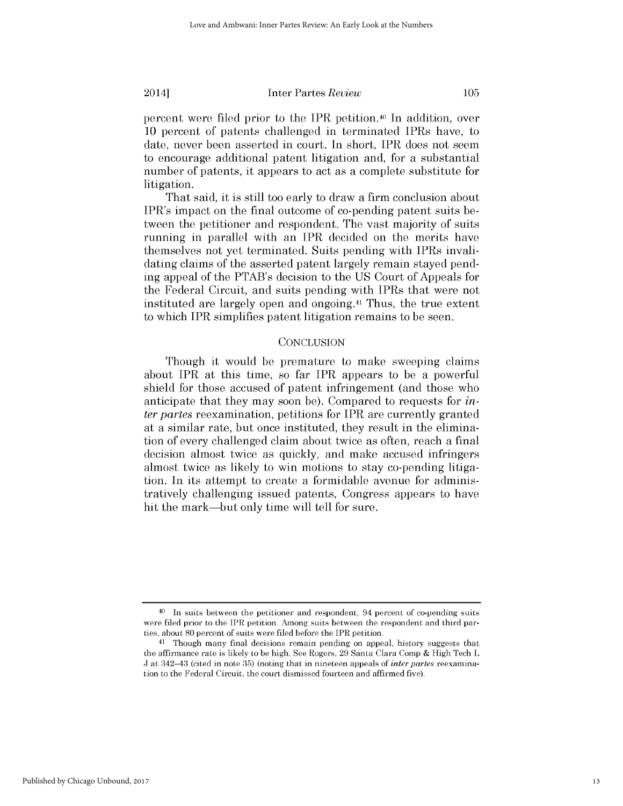percent were filed prior to the IPR petition.40 In addition, over **10** percent of patents challenged in terminated IPRs have, to date, never been asserted in court. In short, IPR does not seem to encourage additional patent litigation and, for a substantial number of patents, it appears to act as a complete substitute for litigation.

That said, it *is still* too early to draw a firm conclusion about IPR's impact on the final outcome of co-pending patent suits between the petitioner and respondent. The vast majority of suits running in parallel with an IPR decided on the merits have themselves not yet terminated. Suits pending with IPRs invalidating claims of the asserted patent largely remain stayed pending appeal of the PTAB's decision to the **US** Court of Appeals for the Federal Circuit, and suits pending with IPRs that were not instituted are largely open and ongoing.41 Thus, the true extent to which IPR simplifies patent litigation remains to be seen.

### **CONCLUSION**

Though it would be premature to make sweeping claims about IPR at this time, so far IPR appears to be a powerful shield for those accused of patent infringement (and those who anticipate that they may soon be). Compared to requests for *inter partes* reexamination, petitions for IPR are currently granted at a similar rate, but once instituted, they result in the elimination of every challenged claim about twice as often, reach a final decision almost twice as quickly, and make accused infringers almost twice as likely to win motions to stay co-pending litigation. In its attempt to create a formidable avenue for administratively challenging issued patents, Congress appears to have hit the mark—but only time will tell for sure.

Published by Chicago Unbound, 2017

**<sup>40</sup>**In suits between the petitioner and respondent, 94 percent of co-pending suits were filed prior to the IPR petition. Among suits between the respondent and third parties, about **80** percent of suits were filed before the IPR petition.

**<sup>41</sup>**Though many final decisions remain pending on appeal, history suggests that the affirmance rate is likely to be high. See Rogers, **29** Santa Clara Comp **&** High Tech L **J** at 342-43 (cited in note **35)** (noting that in nineteen appeals *of inter partes* reexamination to the Federal Circuit, the court dismissed fourteen and affirmed five).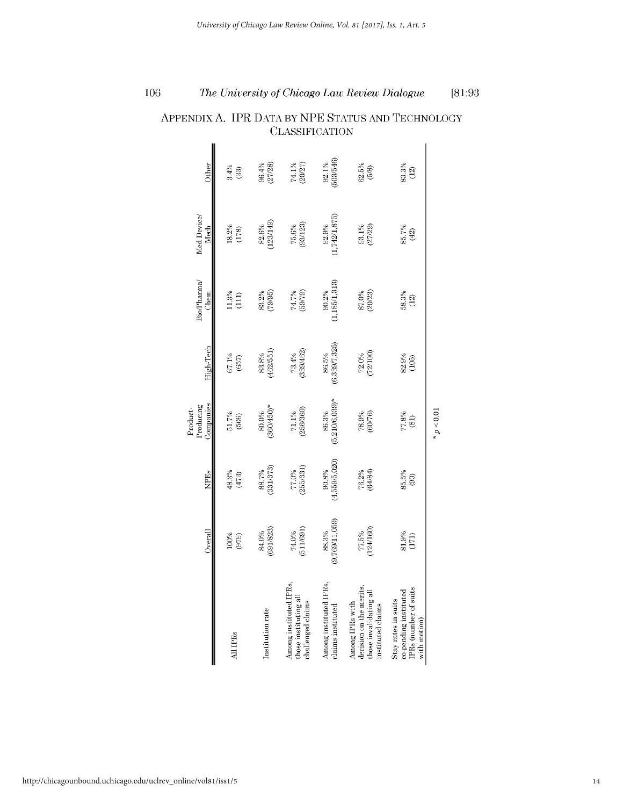|                                                                                             | Overall                 | <b>NPEs</b>            | Companies<br>Producing<br>Product-            | High-Tech              | Bio/Pharma/<br>Chem      | Med Device/<br>Mech    | Other                 |
|---------------------------------------------------------------------------------------------|-------------------------|------------------------|-----------------------------------------------|------------------------|--------------------------|------------------------|-----------------------|
| All IPR <sub>s</sub>                                                                        | 100%<br>(979)           | 48.3%<br>(473)         | 51.7%<br>(506)                                | 67.1%<br>(657)         | 11.3%<br>(111)           | 18.2%<br>(178)         | 3.4%<br>(33)          |
| Institution rate                                                                            | (691/823)<br>84.0%      | (331/373)<br>88.7%     | "860/450)<br>80.0%                            | 462/551)<br>83.8%      | (79/95)<br>83.2%         | 123/149)<br>82.6%      | 96.4%<br>(27/28)      |
| Among instituted IPRs,<br>those instituting all<br>challenged claims                        | $74.0\%$<br>(511/691)   | $77.0\%$<br>(255/331)  | $71.1\%$<br>(256/360)                         | $73.4%$<br>$(339/462)$ | (59/79)<br>$74.7\%$      | (93/123)<br>75.6%      | 74.1%<br>(20/27)      |
| Among instituted IPRs,<br>claims instituted                                                 | (9,769/11,059)<br>88.3% | (4,559/5,020)<br>90.8% | $(5,210/6,039)$ *<br>86.3%                    | (6,339/7,325)<br>86.5% | 1,185/1,313)<br>$90.2\%$ | (1,742/1,875)<br>92.9% | (503/546)<br>$92.1\%$ |
| decision on the merits,<br>those invalidating all<br>Among IPRs with<br>instituted claims   | 77.5%<br>(124/160)      | 76.2%<br>(64/84)       | 78.9%<br>(60/76)                              | $72.0\%$<br>(72/100)   | 87.0%<br>(20/23)         | 93.1%<br>(27/29)       | 62.5%<br>(5/8)        |
| <b>PRs</b> (number of suits<br>co-pending instituted<br>Stay rates in suits<br>with motion) | 81.9%<br>(171)          | $85.5%$<br>$(90)$      | $\begin{array}{c} 77.8\% \\ (81) \end{array}$ | $82.9%$<br>(105)       | 58.3%<br>(12)            | 85.7%<br>(42)          | 83.3%<br>(12)         |
|                                                                                             |                         |                        | p < 0.01                                      |                        |                          |                        |                       |

# APPENDIX **A.** IPR **DATA** By **NPE STATUS AND TECHNOLOGY CLASSIFICATION**